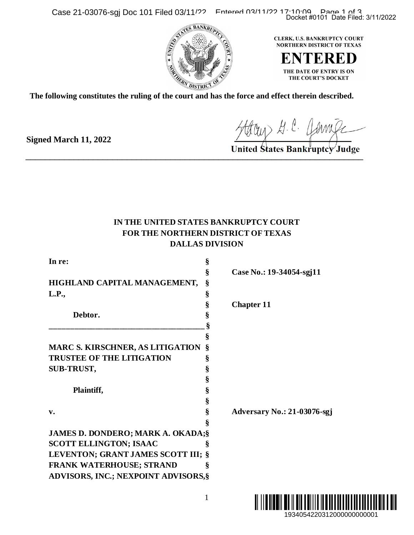Case 21-03076-sgj Doc 101 Filed 03/11/22 Entered 03/11/22 17:10:09 Page 1 of 3



**The following constitutes the ruling of the court and has the force and effect therein described.**

**Signed March 11, 2022**

Hour H. C. Jamile

## **IN THE UNITED STATES BANKRUPTCY COURT FOR THE NORTHERN DISTRICT OF TEXAS DALLAS DIVISION**

|                                                                                                                                                                  |                                           | Docket #0101 Date Filed: 3/11/2022                                                                                            |
|------------------------------------------------------------------------------------------------------------------------------------------------------------------|-------------------------------------------|-------------------------------------------------------------------------------------------------------------------------------|
|                                                                                                                                                                  |                                           | CLERK, U.S. BANKRUPTCY COURT<br><b>NORTHERN DISTRICT OF TEXAS</b><br>ENTERED<br>THE DATE OF ENTRY IS ON<br>THE COURT'S DOCKET |
| following constitutes the ruling of the court and has the force and effect therein described.                                                                    |                                           |                                                                                                                               |
| ed March 11, 2022                                                                                                                                                |                                           | Hour G. C. James<br>United States Bankruptcy Judge                                                                            |
| IN THE UNITED STATES BANKRUPTCY COURT<br>FOR THE NORTHERN DISTRICT OF TEXAS<br>In re:                                                                            | <b>DALLAS DIVISION</b><br>§               |                                                                                                                               |
| HIGHLAND CAPITAL MANAGEMENT,                                                                                                                                     | §<br>§                                    | Case No.: 19-34054-sgj11                                                                                                      |
| L.P.,<br>Debtor.                                                                                                                                                 | §<br>§<br>§<br>§                          | <b>Chapter 11</b>                                                                                                             |
| <b>MARC S. KIRSCHNER, AS LITIGATION</b><br><b>TRUSTEE OF THE LITIGATION</b><br><b>SUB-TRUST,</b><br>Plaintiff,<br>v.<br><b>JAMES D. DONDERO; MARK A. OKADA;§</b> | §<br>§<br>§<br>§<br>§<br>§<br>§<br>§<br>§ | Adversary No.: 21-03076-sgj                                                                                                   |
| <b>SCOTT ELLINGTON; ISAAC</b><br>LEVENTON; GRANT JAMES SCOTT III; §<br>FRANK WATERHOUSE; STRAND<br>ADVISORS, INC.; NEXPOINT ADVISORS, §                          | §<br>§                                    |                                                                                                                               |
|                                                                                                                                                                  | 1                                         | 1934054220312000000000001                                                                                                     |

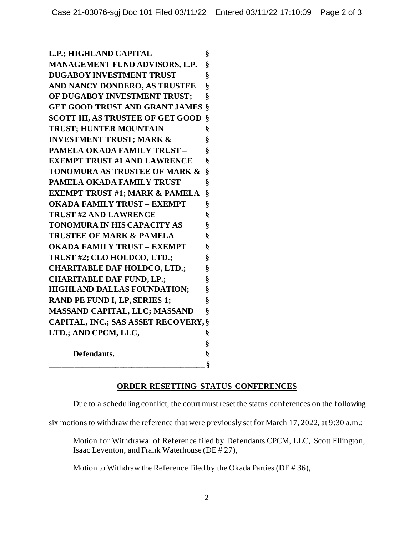**L.P.; HIGHLAND CAPITAL § MANAGEMENT FUND ADVISORS, L.P. § DUGABOY INVESTMENT TRUST § AND NANCY DONDERO, AS TRUSTEE § OF DUGABOY INVESTMENT TRUST; § GET GOOD TRUST AND GRANT JAMES § SCOTT III, AS TRUSTEE OF GET GOOD § TRUST; HUNTER MOUNTAIN § INVESTMENT TRUST; MARK & § PAMELA OKADA FAMILY TRUST – § EXEMPT TRUST #1 AND LAWRENCE § TONOMURA AS TRUSTEE OF MARK & § PAMELA OKADA FAMILY TRUST – § EXEMPT TRUST #1; MARK & PAMELA § OKADA FAMILY TRUST – EXEMPT § TRUST #2 AND LAWRENCE § TONOMURA IN HIS CAPACITY AS § TRUSTEE OF MARK & PAMELA § OKADA FAMILY TRUST – EXEMPT § TRUST #2; CLO HOLDCO, LTD.; § CHARITABLE DAF HOLDCO, LTD.; § CHARITABLE DAF FUND, LP.; § HIGHLAND DALLAS FOUNDATION; § RAND PE FUND I, LP, SERIES 1; § MASSAND CAPITAL, LLC; MASSAND § CAPITAL, INC.; SAS ASSET RECOVERY,§ LTD.; AND CPCM, LLC, § § Defendants. § \_\_\_\_\_\_\_\_\_\_\_\_\_\_\_\_\_\_\_\_\_\_\_\_\_\_\_\_\_\_\_\_\_\_\_\_\_\_ §**

## **ORDER RESETTING STATUS CONFERENCES**

Due to a scheduling conflict, the court must reset the status conferences on the following

six motions to withdraw the reference that were previously set for March 17, 2022, at 9:30 a.m.:

Motion for Withdrawal of Reference filed by Defendants CPCM, LLC, Scott Ellington, Isaac Leventon, and Frank Waterhouse (DE # 27),

Motion to Withdraw the Reference filed by the Okada Parties (DE # 36),